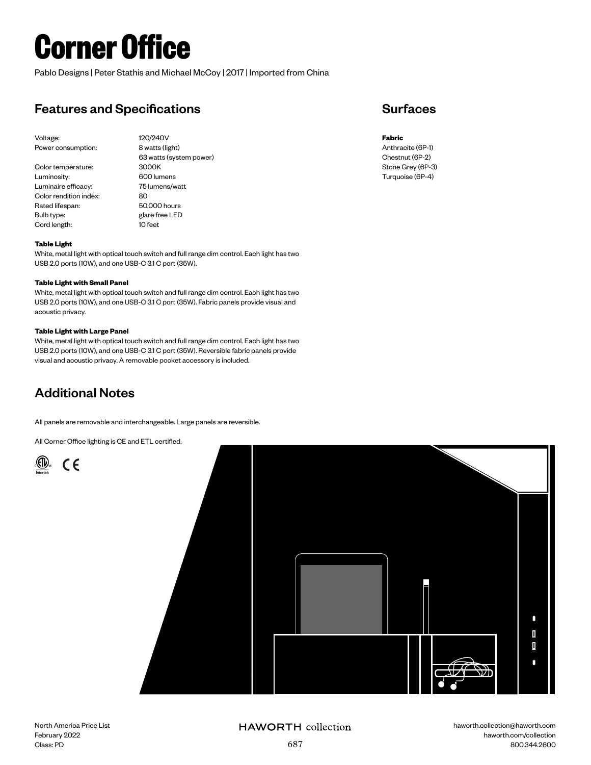# **Corner Office**

Pablo Designs | Peter Stathis and Michael McCoy | 2017 | Imported from China

## Features and Specifications

Voltage: 120/240V Power consumption: 8 watts (light)

Color temperature: 3000K Luminosity: 600 lumens Luminaire efficacy: 75 lumens/watt Color rendition index: 80 Rated lifespan: 50,000 hours Bulb type: glare free LED Cord length: 10 feet

63 watts (system power)

## Surfaces

**Fabric** Anthracite (6P-1) Chestnut (6P-2) Stone Grey (6P-3) Turquoise (6P-4)

### **Table Light**

White, metal light with optical touch switch and full range dim control. Each light has two USB 2.0 ports (10W), and one USB-C 3.1 C port (35W).

#### **Table Light with Small Panel**

White, metal light with optical touch switch and full range dim control. Each light has two USB 2.0 ports (10W), and one USB-C 3.1 C port (35W). Fabric panels provide visual and acoustic privacy.

#### **Table Light with Large Panel**

White, metal light with optical touch switch and full range dim control. Each light has two USB 2.0 ports (10W), and one USB-C 3.1 C port (35W). Reversible fabric panels provide visual and acoustic privacy. A removable pocket accessory is included.

## Additional Notes

All panels are removable and interchangeable. Large panels are reversible.

All Corner Office lighting is CE and ETL certified.





## **HAWORTH** collection